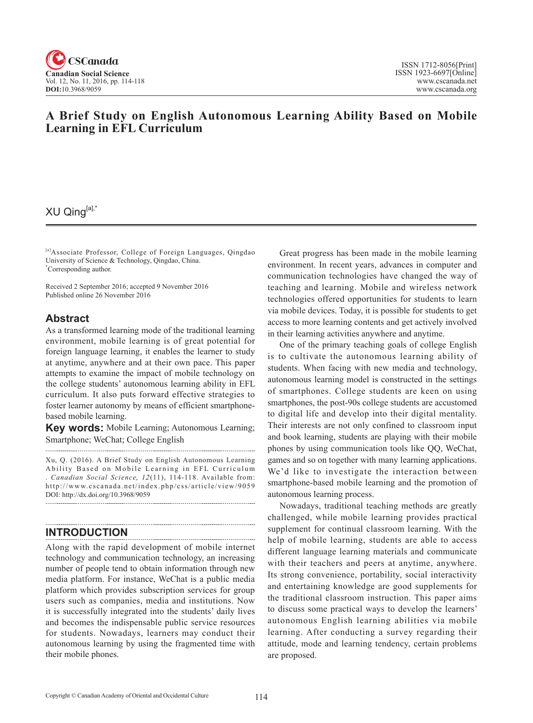

## **A Brief Study on English Autonomous Learning Ability Based on Mobile Learning in EFL Curriculum**

# XU Qing[a],\*

[a]Associate Professor, College of Foreign Languages, Qingdao University of Science & Technology, Qingdao, China. \* Corresponding author.

Received 2 September 2016; accepted 9 November 2016 Published online 26 November 2016

### **Abstract**

As a transformed learning mode of the traditional learning environment, mobile learning is of great potential for foreign language learning, it enables the learner to study at anytime, anywhere and at their own pace. This paper attempts to examine the impact of mobile technology on the college students' autonomous learning ability in EFL curriculum. It also puts forward effective strategies to foster learner autonomy by means of efficient smartphonebased mobile learning.

**Key words:** Mobile Learning; Autonomous Learning; Smartphone; WeChat; College English

Xu, Q. (2016). A Brief Study on English Autonomous Learning Ability Based on Mobile Learning in EFL Curriculum Canadian Social Science, 12(11), 114-118. Available from: http://www.cscanada.net/index.php/css/article/view/9059 DOI: http://dx.doi.org/10.3968/9059 

### **INTRODUCTION**

Along with the rapid development of mobile internet technology and communication technology, an increasing number of people tend to obtain information through new media platform. For instance, WeChat is a public media platform which provides subscription services for group users such as companies, media and institutions. Now it is successfully integrated into the students' daily lives and becomes the indispensable public service resources for students. Nowadays, learners may conduct their autonomous learning by using the fragmented time with their mobile phones.

Great progress has been made in the mobile learning environment. In recent years, advances in computer and communication technologies have changed the way of teaching and learning. Mobile and wireless network technologies offered opportunities for students to learn via mobile devices. Today, it is possible for students to get access to more learning contents and get actively involved in their learning activities anywhere and anytime.

One of the primary teaching goals of college English is to cultivate the autonomous learning ability of students. When facing with new media and technology, autonomous learning model is constructed in the settings of smartphones. College students are keen on using smartphones, the post-90s college students are accustomed to digital life and develop into their digital mentality. Their interests are not only confined to classroom input and book learning, students are playing with their mobile phones by using communication tools like QQ, WeChat, games and so on together with many learning applications. We'd like to investigate the interaction between smartphone-based mobile learning and the promotion of autonomous learning process.

Nowadays, traditional teaching methods are greatly challenged, while mobile learning provides practical supplement for continual classroom learning. With the help of mobile learning, students are able to access different language learning materials and communicate with their teachers and peers at anytime, anywhere. Its strong convenience, portability, social interactivity and entertaining knowledge are good supplements for the traditional classroom instruction. This paper aims to discuss some practical ways to develop the learners' autonomous English learning abilities via mobile learning. After conducting a survey regarding their attitude, mode and learning tendency, certain problems are proposed.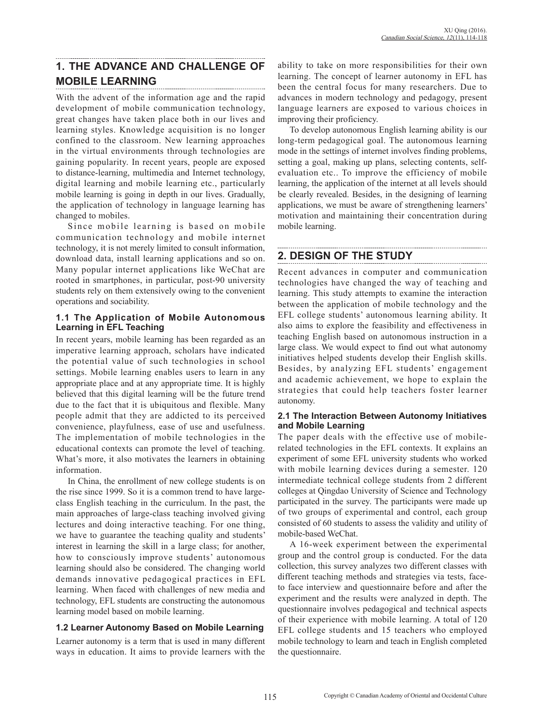## **1. THE ADVANCE AND CHALLENGE OF MOBILE LEARNING**

With the advent of the information age and the rapid development of mobile communication technology, great changes have taken place both in our lives and learning styles. Knowledge acquisition is no longer confined to the classroom. New learning approaches in the virtual environments through technologies are gaining popularity. In recent years, people are exposed to distance-learning, multimedia and Internet technology, digital learning and mobile learning etc., particularly mobile learning is going in depth in our lives. Gradually, the application of technology in language learning has changed to mobiles.

Since mobile learning is based on mobile communication technology and mobile internet technology, it is not merely limited to consult information, download data, install learning applications and so on. Many popular internet applications like WeChat are rooted in smartphones, in particular, post-90 university students rely on them extensively owing to the convenient operations and sociability.

#### **1.1 The Application of Mobile Autonomous Learning in EFL Teaching**

In recent years, mobile learning has been regarded as an imperative learning approach, scholars have indicated the potential value of such technologies in school settings. Mobile learning enables users to learn in any appropriate place and at any appropriate time. It is highly believed that this digital learning will be the future trend due to the fact that it is ubiquitous and flexible. Many people admit that they are addicted to its perceived convenience, playfulness, ease of use and usefulness. The implementation of mobile technologies in the educational contexts can promote the level of teaching. What's more, it also motivates the learners in obtaining information.

In China, the enrollment of new college students is on the rise since 1999. So it is a common trend to have largeclass English teaching in the curriculum. In the past, the main approaches of large-class teaching involved giving lectures and doing interactive teaching. For one thing, we have to guarantee the teaching quality and students' interest in learning the skill in a large class; for another, how to consciously improve students' autonomous learning should also be considered. The changing world demands innovative pedagogical practices in EFL learning. When faced with challenges of new media and technology, EFL students are constructing the autonomous learning model based on mobile learning.

### **1.2 Learner Autonomy Based on Mobile Learning**

Learner autonomy is a term that is used in many different ways in education. It aims to provide learners with the ability to take on more responsibilities for their own learning. The concept of learner autonomy in EFL has been the central focus for many researchers. Due to advances in modern technology and pedagogy, present language learners are exposed to various choices in improving their proficiency.

To develop autonomous English learning ability is our long-term pedagogical goal. The autonomous learning mode in the settings of internet involves finding problems, setting a goal, making up plans, selecting contents, selfevaluation etc.. To improve the efficiency of mobile learning, the application of the internet at all levels should be clearly revealed. Besides, in the designing of learning applications, we must be aware of strengthening learners' motivation and maintaining their concentration during mobile learning.

## **2. DESIGN OF THE STUDY**

Recent advances in computer and communication technologies have changed the way of teaching and learning. This study attempts to examine the interaction between the application of mobile technology and the EFL college students' autonomous learning ability. It also aims to explore the feasibility and effectiveness in teaching English based on autonomous instruction in a large class. We would expect to find out what autonomy initiatives helped students develop their English skills. Besides, by analyzing EFL students' engagement and academic achievement, we hope to explain the strategies that could help teachers foster learner autonomy.

#### **2.1 The Interaction Between Autonomy Initiatives and Mobile Learning**

The paper deals with the effective use of mobilerelated technologies in the EFL contexts. It explains an experiment of some EFL university students who worked with mobile learning devices during a semester. 120 intermediate technical college students from 2 different colleges at Qingdao University of Science and Technology participated in the survey. The participants were made up of two groups of experimental and control, each group consisted of 60 students to assess the validity and utility of mobile-based WeChat.

A 16-week experiment between the experimental group and the control group is conducted. For the data collection, this survey analyzes two different classes with different teaching methods and strategies via tests, faceto face interview and questionnaire before and after the experiment and the results were analyzed in depth. The questionnaire involves pedagogical and technical aspects of their experience with mobile learning. A total of 120 EFL college students and 15 teachers who employed mobile technology to learn and teach in English completed the questionnaire.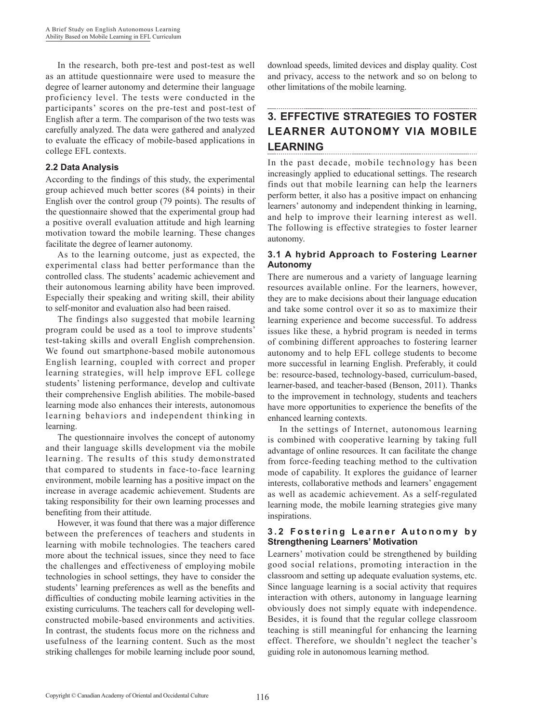In the research, both pre-test and post-test as well as an attitude questionnaire were used to measure the degree of learner autonomy and determine their language proficiency level. The tests were conducted in the participants' scores on the pre-test and post-test of English after a term. The comparison of the two tests was carefully analyzed. The data were gathered and analyzed to evaluate the efficacy of mobile-based applications in college EFL contexts.

#### **2.2 Data Analysis**

According to the findings of this study, the experimental group achieved much better scores (84 points) in their English over the control group (79 points). The results of the questionnaire showed that the experimental group had a positive overall evaluation attitude and high learning motivation toward the mobile learning. These changes facilitate the degree of learner autonomy.

As to the learning outcome, just as expected, the experimental class had better performance than the controlled class. The students' academic achievement and their autonomous learning ability have been improved. Especially their speaking and writing skill, their ability to self-monitor and evaluation also had been raised.

The findings also suggested that mobile learning program could be used as a tool to improve students' test-taking skills and overall English comprehension. We found out smartphone-based mobile autonomous English learning, coupled with correct and proper learning strategies, will help improve EFL college students' listening performance, develop and cultivate their comprehensive English abilities. The mobile-based learning mode also enhances their interests, autonomous learning behaviors and independent thinking in learning.

The questionnaire involves the concept of autonomy and their language skills development via the mobile learning. The results of this study demonstrated that compared to students in face-to-face learning environment, mobile learning has a positive impact on the increase in average academic achievement. Students are taking responsibility for their own learning processes and benefiting from their attitude.

However, it was found that there was a major difference between the preferences of teachers and students in learning with mobile technologies. The teachers cared more about the technical issues, since they need to face the challenges and effectiveness of employing mobile technologies in school settings, they have to consider the students' learning preferences as well as the benefits and difficulties of conducting mobile learning activities in the existing curriculums. The teachers call for developing wellconstructed mobile-based environments and activities. In contrast, the students focus more on the richness and usefulness of the learning content. Such as the most striking challenges for mobile learning include poor sound, download speeds, limited devices and display quality. Cost and privacy, access to the network and so on belong to other limitations of the mobile learning.

## **3. EFFECTIVE STRATEGIES TO FOSTER LEARNER AUTONOMY VIA MOBILE LEARNING**

In the past decade, mobile technology has been increasingly applied to educational settings. The research finds out that mobile learning can help the learners perform better, it also has a positive impact on enhancing learners' autonomy and independent thinking in learning, and help to improve their learning interest as well. The following is effective strategies to foster learner autonomy.

#### **3.1 A hybrid Approach to Fostering Learner Autonomy**

There are numerous and a variety of language learning resources available online. For the learners, however, they are to make decisions about their language education and take some control over it so as to maximize their learning experience and become successful. To address issues like these, a hybrid program is needed in terms of combining different approaches to fostering learner autonomy and to help EFL college students to become more successful in learning English. Preferably, it could be: resource-based, technology-based, curriculum-based, learner-based, and teacher-based (Benson, 2011). Thanks to the improvement in technology, students and teachers have more opportunities to experience the benefits of the enhanced learning contexts.

In the settings of Internet, autonomous learning is combined with cooperative learning by taking full advantage of online resources. It can facilitate the change from force-feeding teaching method to the cultivation mode of capability. It explores the guidance of learner interests, collaborative methods and learners' engagement as well as academic achievement. As a self-regulated learning mode, the mobile learning strategies give many inspirations.

#### **3 . 2 F o s t e r i n g L e a r n e r A u t o n o m y b y Strengthening Learners' Motivation**

Learners' motivation could be strengthened by building good social relations, promoting interaction in the classroom and setting up adequate evaluation systems, etc. Since language learning is a social activity that requires interaction with others, autonomy in language learning obviously does not simply equate with independence. Besides, it is found that the regular college classroom teaching is still meaningful for enhancing the learning effect. Therefore, we shouldn't neglect the teacher's guiding role in autonomous learning method.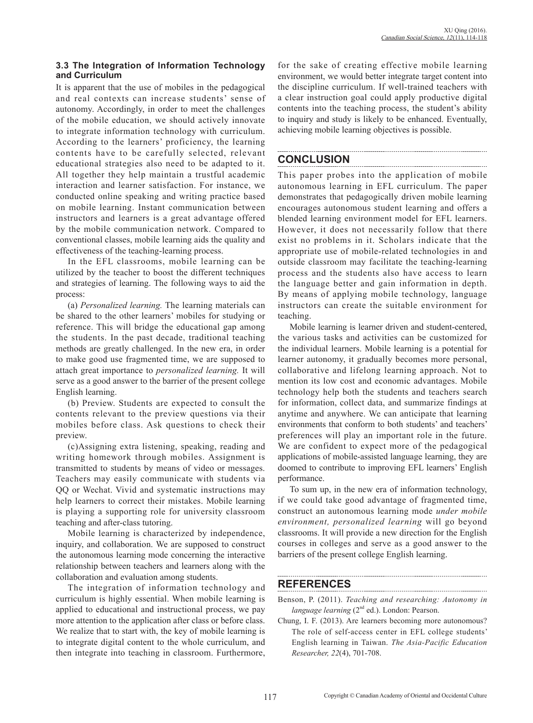#### **3.3 The Integration of Information Technology and Curriculum**

It is apparent that the use of mobiles in the pedagogical and real contexts can increase students' sense of autonomy. Accordingly, in order to meet the challenges of the mobile education, we should actively innovate to integrate information technology with curriculum. According to the learners' proficiency, the learning contents have to be carefully selected, relevant educational strategies also need to be adapted to it. All together they help maintain a trustful academic interaction and learner satisfaction. For instance, we conducted online speaking and writing practice based on mobile learning. Instant communication between instructors and learners is a great advantage offered by the mobile communication network. Compared to conventional classes, mobile learning aids the quality and effectiveness of the teaching-learning process.

In the EFL classrooms, mobile learning can be utilized by the teacher to boost the different techniques and strategies of learning. The following ways to aid the process:

(a) *Personalized learning.* The learning materials can be shared to the other learners' mobiles for studying or reference. This will bridge the educational gap among the students. In the past decade, traditional teaching methods are greatly challenged. In the new era, in order to make good use fragmented time, we are supposed to attach great importance to *personalized learning.* It will serve as a good answer to the barrier of the present college English learning.

(b) Preview. Students are expected to consult the contents relevant to the preview questions via their mobiles before class. Ask questions to check their preview.

(c)Assigning extra listening, speaking, reading and writing homework through mobiles. Assignment is transmitted to students by means of video or messages. Teachers may easily communicate with students via QQ or Wechat. Vivid and systematic instructions may help learners to correct their mistakes. Mobile learning is playing a supporting role for university classroom teaching and after-class tutoring.

Mobile learning is characterized by independence, inquiry, and collaboration. We are supposed to construct the autonomous learning mode concerning the interactive relationship between teachers and learners along with the collaboration and evaluation among students.

The integration of information technology and curriculum is highly essential. When mobile learning is applied to educational and instructional process, we pay more attention to the application after class or before class. We realize that to start with, the key of mobile learning is to integrate digital content to the whole curriculum, and then integrate into teaching in classroom. Furthermore, for the sake of creating effective mobile learning environment, we would better integrate target content into the discipline curriculum. If well-trained teachers with a clear instruction goal could apply productive digital contents into the teaching process, the student's ability to inquiry and study is likely to be enhanced. Eventually, achieving mobile learning objectives is possible.

## **CONCLUSION**

This paper probes into the application of mobile autonomous learning in EFL curriculum. The paper demonstrates that pedagogically driven mobile learning encourages autonomous student learning and offers a blended learning environment model for EFL learners. However, it does not necessarily follow that there exist no problems in it. Scholars indicate that the appropriate use of mobile-related technologies in and outside classroom may facilitate the teaching-learning process and the students also have access to learn the language better and gain information in depth. By means of applying mobile technology, language instructors can create the suitable environment for teaching.

Mobile learning is learner driven and student-centered, the various tasks and activities can be customized for the individual learners. Mobile learning is a potential for learner autonomy, it gradually becomes more personal, collaborative and lifelong learning approach. Not to mention its low cost and economic advantages. Mobile technology help both the students and teachers search for information, collect data, and summarize findings at anytime and anywhere. We can anticipate that learning environments that conform to both students' and teachers' preferences will play an important role in the future. We are confident to expect more of the pedagogical applications of mobile-assisted language learning, they are doomed to contribute to improving EFL learners' English performance.

To sum up, in the new era of information technology, if we could take good advantage of fragmented time, construct an autonomous learning mode *under mobile environment, personalized learning* will go beyond classrooms. It will provide a new direction for the English courses in colleges and serve as a good answer to the barriers of the present college English learning.

### **REFERENCES**

- Benson, P. (2011). *Teaching and researching: Autonomy in language learning* (2<sup>nd</sup> ed.). London: Pearson.
- Chung, I. F. (2013). Are learners becoming more autonomous? The role of self-access center in EFL college students' English learning in Taiwan. *The Asia-Pacific Education Researcher, 22*(4), 701-708.